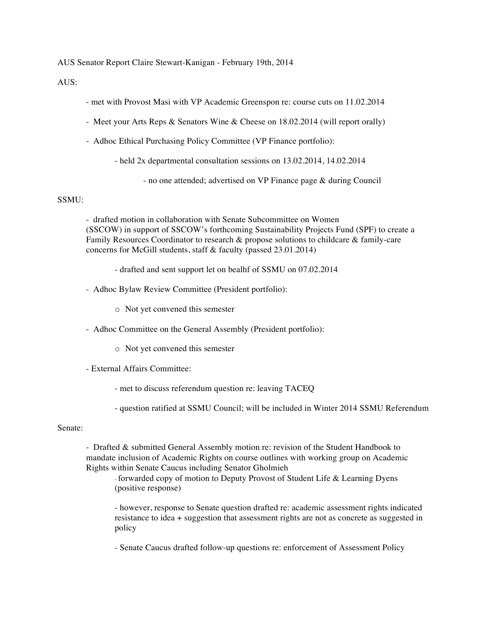AUS Senator Report Claire Stewart-Kanigan - February 19th, 2014

AUS:

- met with Provost Masi with VP Academic Greenspon re: course cuts on 11.02.2014
- Meet your Arts Reps & Senators Wine & Cheese on 18.02.2014 (will report orally)
- Adhoc Ethical Purchasing Policy Committee (VP Finance portfolio):

- held 2x departmental consultation sessions on 13.02.2014, 14.02.2014

- no one attended; advertised on VP Finance page & during Council

## SSMU:

- drafted motion in collaboration with Senate Subcommittee on Women (SSCOW) in support of SSCOW's forthcoming Sustainability Projects Fund (SPF) to create a Family Resources Coordinator to research & propose solutions to childcare & family-care concerns for McGill students, staff & faculty (passed 23.01.2014)

- drafted and sent support let on bealhf of SSMU on 07.02.2014

- Adhoc Bylaw Review Committee (President portfolio):

o Not yet convened this semester

- Adhoc Committee on the General Assembly (President portfolio):

- o Not yet convened this semester
- External Affairs Committee:
	- met to discuss referendum question re: leaving TACEQ
	- question ratified at SSMU Council; will be included in Winter 2014 SSMU Referendum

## Senate:

- Drafted & submitted General Assembly motion re: revision of the Student Handbook to mandate inclusion of Academic Rights on course outlines with working group on Academic Rights within Senate Caucus including Senator Gholmieh

- forwarded copy of motion to Deputy Provost of Student Life & Learning Dyens (positive response)

- however, response to Senate question drafted re: academic assessment rights indicated resistance to idea + suggestion that assessment rights are not as concrete as suggested in policy

- Senate Caucus drafted follow-up questions re: enforcement of Assessment Policy